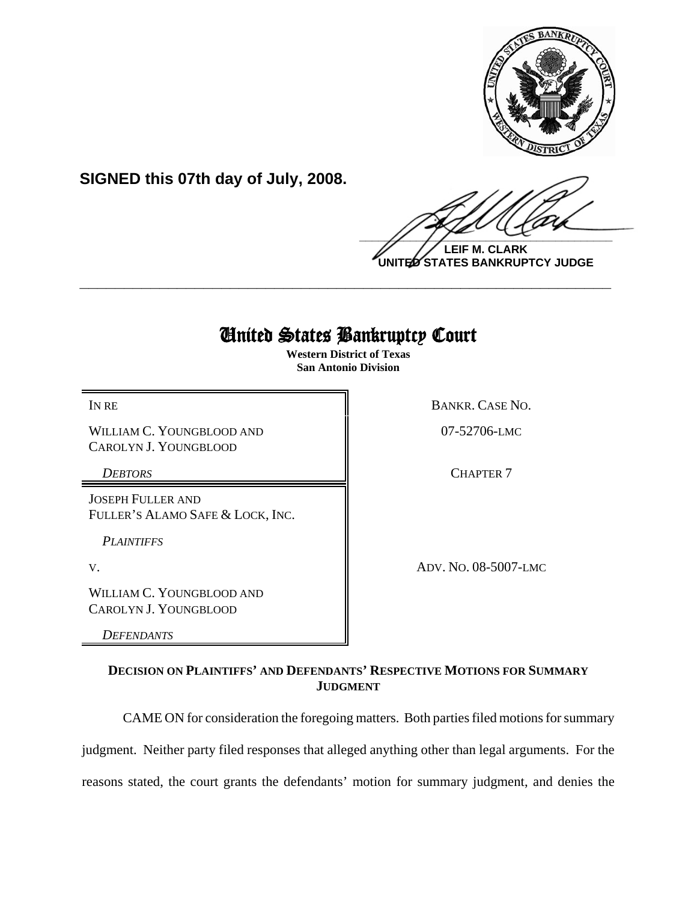

**SIGNED this 07th day of July, 2008.**

 $\frac{1}{2}$ 

**LEIF M. CLARK UNITED STATES BANKRUPTCY JUDGE**

## United States Bankruptcy Court

**\_\_\_\_\_\_\_\_\_\_\_\_\_\_\_\_\_\_\_\_\_\_\_\_\_\_\_\_\_\_\_\_\_\_\_\_\_\_\_\_\_\_\_\_\_\_\_\_\_\_\_\_\_\_\_\_\_\_\_\_**

**Western District of Texas San Antonio Division**

WILLIAM C. YOUNGBLOOD AND CAROLYN J. YOUNGBLOOD

JOSEPH FULLER AND FULLER'S ALAMO SAFE & LOCK, INC.

*PLAINTIFFS* 

WILLIAM C. YOUNGBLOOD AND CAROLYN J. YOUNGBLOOD

*DEFENDANTS*

IN RE BANKR. CASE NO.

07-52706-LMC

**DEBTORS** CHAPTER 7

V. ADV. NO. 08-5007-LMC

**DECISION ON PLAINTIFFS' AND DEFENDANTS' RESPECTIVE MOTIONS FOR SUMMARY JUDGMENT**

CAME ON for consideration the foregoing matters. Both parties filed motions for summary judgment. Neither party filed responses that alleged anything other than legal arguments. For the

reasons stated, the court grants the defendants' motion for summary judgment, and denies the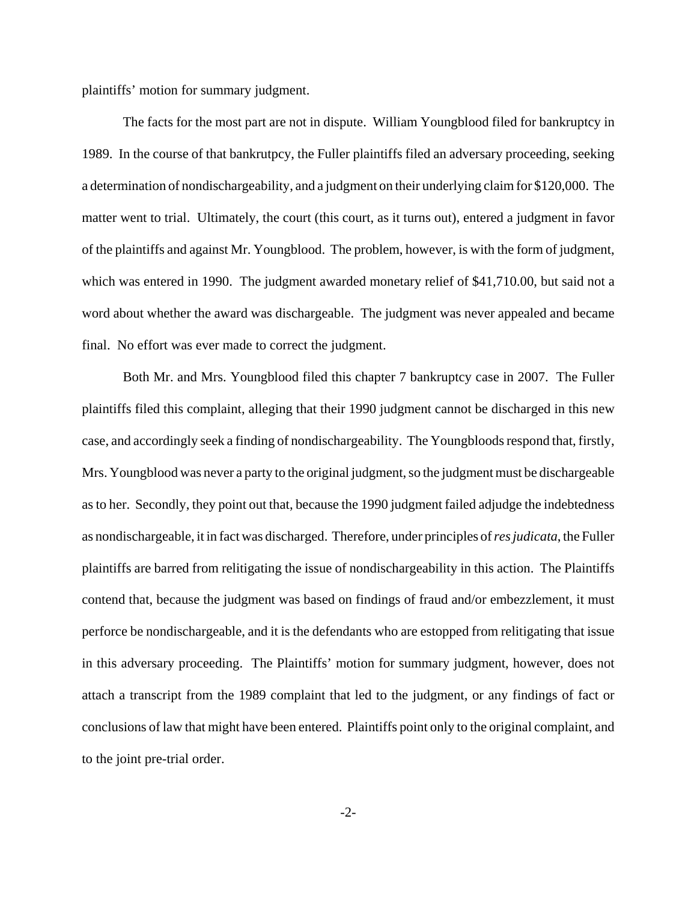plaintiffs' motion for summary judgment.

The facts for the most part are not in dispute. William Youngblood filed for bankruptcy in 1989. In the course of that bankrutpcy, the Fuller plaintiffs filed an adversary proceeding, seeking a determination of nondischargeability, and a judgment on their underlying claim for \$120,000. The matter went to trial. Ultimately, the court (this court, as it turns out), entered a judgment in favor of the plaintiffs and against Mr. Youngblood. The problem, however, is with the form of judgment, which was entered in 1990. The judgment awarded monetary relief of \$41,710.00, but said not a word about whether the award was dischargeable. The judgment was never appealed and became final. No effort was ever made to correct the judgment.

Both Mr. and Mrs. Youngblood filed this chapter 7 bankruptcy case in 2007. The Fuller plaintiffs filed this complaint, alleging that their 1990 judgment cannot be discharged in this new case, and accordingly seek a finding of nondischargeability. The Youngbloods respond that, firstly, Mrs. Youngblood was never a party to the original judgment, so the judgment must be dischargeable as to her. Secondly, they point out that, because the 1990 judgment failed adjudge the indebtedness as nondischargeable, it in fact was discharged. Therefore, under principles of *res judicata*, the Fuller plaintiffs are barred from relitigating the issue of nondischargeability in this action. The Plaintiffs contend that, because the judgment was based on findings of fraud and/or embezzlement, it must perforce be nondischargeable, and it is the defendants who are estopped from relitigating that issue in this adversary proceeding. The Plaintiffs' motion for summary judgment, however, does not attach a transcript from the 1989 complaint that led to the judgment, or any findings of fact or conclusions of law that might have been entered. Plaintiffs point only to the original complaint, and to the joint pre-trial order.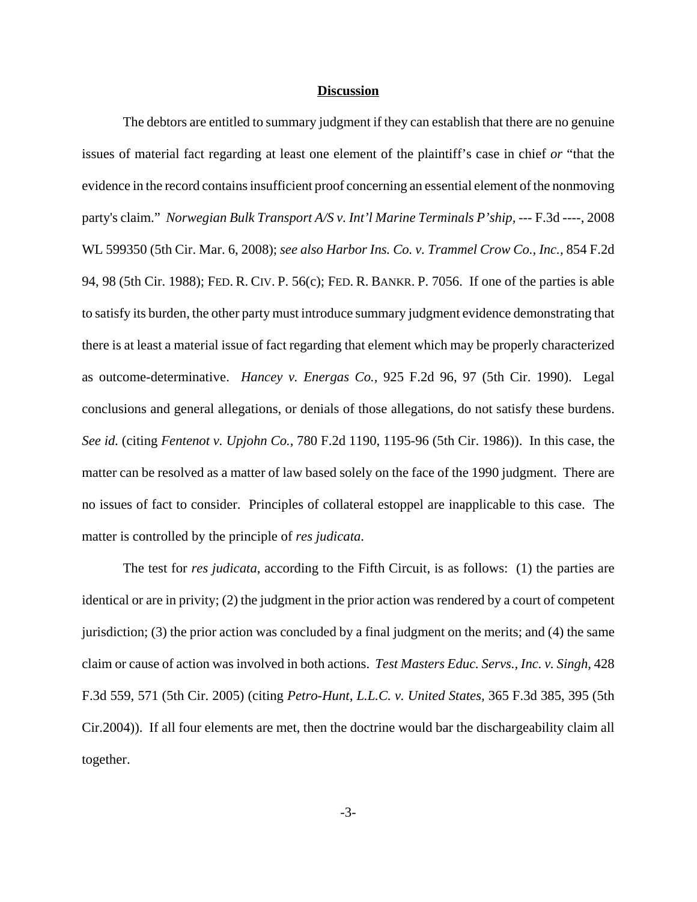## **Discussion**

The debtors are entitled to summary judgment if they can establish that there are no genuine issues of material fact regarding at least one element of the plaintiff's case in chief *or* "that the evidence in the record contains insufficient proof concerning an essential element of the nonmoving party's claim." *Norwegian Bulk Transport A/S v. Int'l Marine Terminals P'ship, --- F.3d ----, 2008* WL 599350 (5th Cir. Mar. 6, 2008); *see also Harbor Ins. Co. v. Trammel Crow Co., Inc.,* 854 F.2d 94, 98 (5th Cir. 1988); FED. R. CIV. P. 56(c); FED. R. BANKR. P. 7056. If one of the parties is able to satisfy its burden, the other party must introduce summary judgment evidence demonstrating that there is at least a material issue of fact regarding that element which may be properly characterized as outcome-determinative. *Hancey v. Energas Co.,* 925 F.2d 96, 97 (5th Cir. 1990). Legal conclusions and general allegations, or denials of those allegations, do not satisfy these burdens. *See id.* (citing *Fentenot v. Upjohn Co.,* 780 F.2d 1190, 1195-96 (5th Cir. 1986)). In this case, the matter can be resolved as a matter of law based solely on the face of the 1990 judgment. There are no issues of fact to consider. Principles of collateral estoppel are inapplicable to this case. The matter is controlled by the principle of *res judicata*.

The test for *res judicata*, according to the Fifth Circuit, is as follows: (1) the parties are identical or are in privity; (2) the judgment in the prior action was rendered by a court of competent jurisdiction; (3) the prior action was concluded by a final judgment on the merits; and (4) the same claim or cause of action was involved in both actions. *Test Masters Educ. Servs., Inc. v. Singh,* 428 F.3d 559, 571 (5th Cir. 2005) (citing *Petro-Hunt, L.L.C. v. United States,* 365 F.3d 385, 395 (5th Cir.2004)). If all four elements are met, then the doctrine would bar the dischargeability claim all together.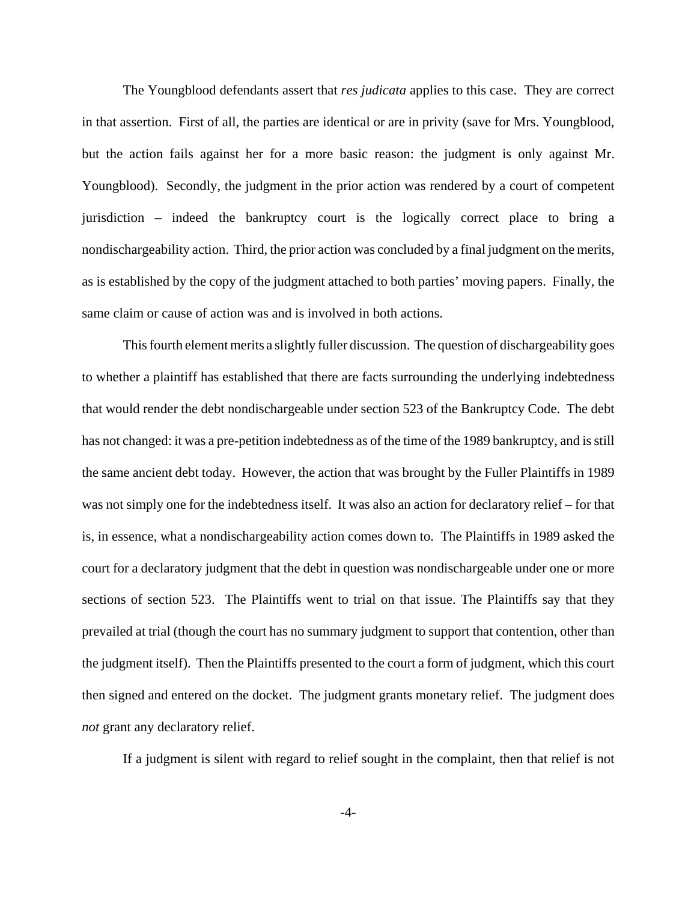The Youngblood defendants assert that *res judicata* applies to this case. They are correct in that assertion. First of all, the parties are identical or are in privity (save for Mrs. Youngblood, but the action fails against her for a more basic reason: the judgment is only against Mr. Youngblood). Secondly, the judgment in the prior action was rendered by a court of competent jurisdiction – indeed the bankruptcy court is the logically correct place to bring a nondischargeability action. Third, the prior action was concluded by a final judgment on the merits, as is established by the copy of the judgment attached to both parties' moving papers. Finally, the same claim or cause of action was and is involved in both actions.

This fourth element merits a slightly fuller discussion. The question of dischargeability goes to whether a plaintiff has established that there are facts surrounding the underlying indebtedness that would render the debt nondischargeable under section 523 of the Bankruptcy Code. The debt has not changed: it was a pre-petition indebtedness as of the time of the 1989 bankruptcy, and is still the same ancient debt today. However, the action that was brought by the Fuller Plaintiffs in 1989 was not simply one for the indebtedness itself. It was also an action for declaratory relief – for that is, in essence, what a nondischargeability action comes down to. The Plaintiffs in 1989 asked the court for a declaratory judgment that the debt in question was nondischargeable under one or more sections of section 523. The Plaintiffs went to trial on that issue. The Plaintiffs say that they prevailed at trial (though the court has no summary judgment to support that contention, other than the judgment itself). Then the Plaintiffs presented to the court a form of judgment, which this court then signed and entered on the docket. The judgment grants monetary relief. The judgment does *not* grant any declaratory relief.

If a judgment is silent with regard to relief sought in the complaint, then that relief is not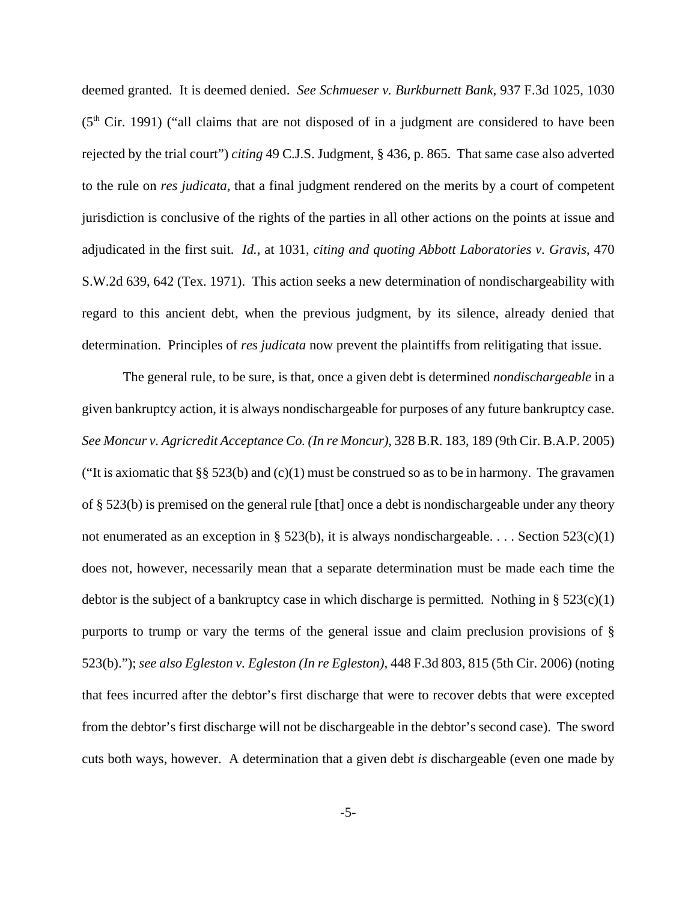deemed granted. It is deemed denied. *See Schmueser v. Burkburnett Bank*, 937 F.3d 1025, 1030  $(5<sup>th</sup> Cir. 1991)$  ("all claims that are not disposed of in a judgment are considered to have been rejected by the trial court") *citing* 49 C.J.S. Judgment, § 436, p. 865. That same case also adverted to the rule on *res judicata*, that a final judgment rendered on the merits by a court of competent jurisdiction is conclusive of the rights of the parties in all other actions on the points at issue and adjudicated in the first suit. *Id.*, at 1031, *citing and quoting Abbott Laboratories v. Gravis*, 470 S.W.2d 639, 642 (Tex. 1971). This action seeks a new determination of nondischargeability with regard to this ancient debt, when the previous judgment, by its silence, already denied that determination. Principles of *res judicata* now prevent the plaintiffs from relitigating that issue.

The general rule, to be sure, is that, once a given debt is determined *nondischargeable* in a given bankruptcy action, it is always nondischargeable for purposes of any future bankruptcy case. *See Moncur v. Agricredit Acceptance Co. (In re Moncur)*, 328 B.R. 183, 189 (9th Cir. B.A.P. 2005) ("It is axiomatic that  $\S$ § 523(b) and (c)(1) must be construed so as to be in harmony. The gravamen of § 523(b) is premised on the general rule [that] once a debt is nondischargeable under any theory not enumerated as an exception in § 523(b), it is always nondischargeable. . . . Section 523(c)(1) does not, however, necessarily mean that a separate determination must be made each time the debtor is the subject of a bankruptcy case in which discharge is permitted. Nothing in  $\S 523(c)(1)$ purports to trump or vary the terms of the general issue and claim preclusion provisions of § 523(b)."); *see also Egleston v. Egleston (In re Egleston),* 448 F.3d 803, 815 (5th Cir. 2006) (noting that fees incurred after the debtor's first discharge that were to recover debts that were excepted from the debtor's first discharge will not be dischargeable in the debtor's second case). The sword cuts both ways, however. A determination that a given debt *is* dischargeable (even one made by